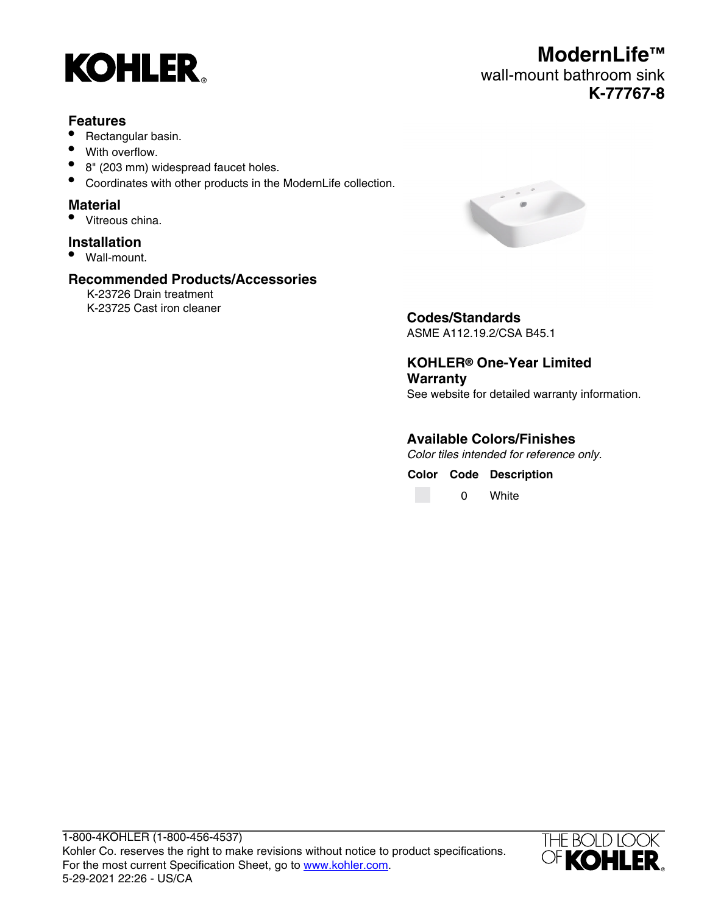

#### **Features**

- Rectangular basin.
- With overflow.
- 8" (203 mm) widespread faucet holes.
- Coordinates with other products in the ModernLife collection.

#### **Material**

• Vitreous china.

# **Installation**

• Wall-mount.

## **Recommended Products/Accessories**

K-23726 Drain treatment K-23725 Cast iron cleaner



**Codes/Standards** ASME A112.19.2/CSA B45.1

**KOHLER® One-Year Limited Warranty** See website for detailed warranty information.

**Available Colors/Finishes**

Color tiles intended for reference only.

**Color Code Description** 0 White



**ModernLife™** wall-mount bathroom sink **K-77767-8**